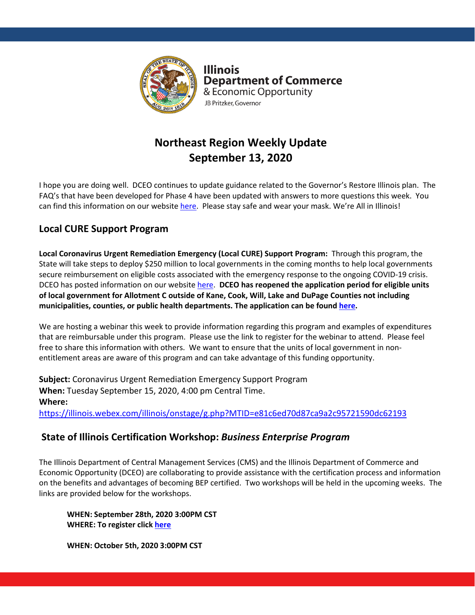

**Illinois Department of Commerce** & Economic Opportunity JB Pritzker, Governor

# **Northeast Region Weekly Update September 13, 2020**

I hope you are doing well. DCEO continues to update guidance related to the Governor's Restore Illinois plan. The FAQ's that have been developed for Phase 4 have been updated with answers to more questions this week. You can find this information on our websit[e here.](https://www2.illinois.gov/dceo/Pages/default.aspx) Please stay safe and wear your mask. We're All in Illinois!

## **Local CURE Support Program**

**Local Coronavirus Urgent Remediation Emergency (Local CURE) Support Program:** Through this program, the State will take steps to deploy \$250 million to local governments in the coming months to help local governments secure reimbursement on eligible costs associated with the emergency response to the ongoing COVID-19 crisis. DCEO has posted information on our websit[e here.](https://www2.illinois.gov/dceo/Pages/CURE.aspx) **DCEO has reopened the application period for eligible units of local government for Allotment C outside of Kane, Cook, Will, Lake and DuPage Counties not including municipalities, counties, or public health departments. The application can be found [here.](https://app.smartsheet.com/b/form/047cc0e0c1734dc5ad193cfd5c3b07fc)**

We are hosting a webinar this week to provide information regarding this program and examples of expenditures that are reimbursable under this program. Please use the link to register for the webinar to attend. Please feel free to share this information with others. We want to ensure that the units of local government in nonentitlement areas are aware of this program and can take advantage of this funding opportunity.

**Subject:** Coronavirus Urgent Remediation Emergency Support Program **When:** Tuesday September 15, 2020, 4:00 pm Central Time. **Where:** <https://illinois.webex.com/illinois/onstage/g.php?MTID=e81c6ed70d87ca9a2c95721590dc62193>

### **State of Illinois Certification Workshop:** *Business Enterprise Program*

The Illinois Department of Central Management Services (CMS) and the Illinois Department of Commerce and Economic Opportunity (DCEO) are collaborating to provide assistance with the certification process and information on the benefits and advantages of becoming BEP certified. Two workshops will be held in the upcoming weeks. The links are provided below for the workshops.

**WHEN: September 28th, 2020 3:00PM CST WHERE: To register click [here](https://illinois.webex.com/illinois/onstage/g.php?MTID=e545f96fefabc08579270da0419842e73)**

**WHEN: October 5th, 2020 3:00PM CST**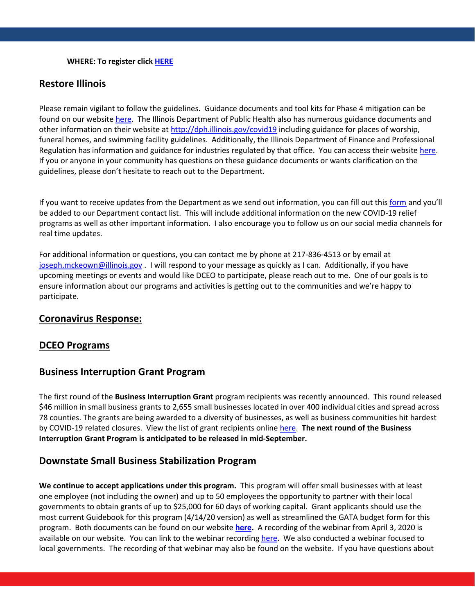#### **WHERE: To register clic[k HERE](https://illinois.webex.com/illinois/onstage/g.php?MTID=e01c34fd8d7910b37feffcf1f659fce28)**

#### **Restore Illinois**

Please remain vigilant to follow the guidelines. Guidance documents and tool kits for Phase 4 mitigation can be found on our website [here.](https://www2.illinois.gov/dceo/Pages/default.aspx) The Illinois Department of Public Health also has numerous guidance documents and other information on their website at<http://dph.illinois.gov/covid19> including guidance for places of worship, funeral homes, and swimming facility guidelines. Additionally, the Illinois Department of Finance and Professional Regulation has information and guidance for industries regulated by that office. You can access their website [here.](https://www.idfpr.com/) If you or anyone in your community has questions on these guidance documents or wants clarification on the guidelines, please don't hesitate to reach out to the Department.

If you want to receive updates from the Department as we send out information, you can fill out this [form](https://lp.constantcontactpages.com/su/oBArKbV) and you'll be added to our Department contact list. This will include additional information on the new COVID-19 relief programs as well as other important information. I also encourage you to follow us on our social media channels for real time updates.

For additional information or questions, you can contact me by phone at 217-836-4513 or by email at [joseph.mckeown@illinois.gov](mailto:joseph.mckeown@illinois.gov) . I will respond to your message as quickly as I can. Additionally, if you have upcoming meetings or events and would like DCEO to participate, please reach out to me. One of our goals is to ensure information about our programs and activities is getting out to the communities and we're happy to participate.

#### **Coronavirus Response:**

#### **DCEO Programs**

#### **Business Interruption Grant Program**

The first round of the **Business Interruption Grant** program recipients was recently announced. This round released \$46 million in small business grants to 2,655 small businesses located in over 400 individual cities and spread across 78 counties. The grants are being awarded to a diversity of businesses, as well as business communities hit hardest by COVID-19 related closures. View the list of grant recipients online [here.](https://www2.illinois.gov/dceo/SmallBizAssistance/Documents/BIG-Round1Awardees_08.12.20.pdf) **The next round of the Business Interruption Grant Program is anticipated to be released in mid-September.**

#### **Downstate Small Business Stabilization Program**

**We continue to accept applications under this program.** This program will offer small businesses with at least one employee (not including the owner) and up to 50 employees the opportunity to partner with their local governments to obtain grants of up to \$25,000 for 60 days of working capital. Grant applicants should use the most current Guidebook for this program (4/14/20 version) as well as streamlined the GATA budget form for this program. Both documents can be found on our website **[here.](https://www2.illinois.gov/dceo/CommunityServices/CommunityInfrastructure/Pages/DownstateSmBizStabilizaition.aspx)** A recording of the webinar from April 3, 2020 is available on our website. You can link to the webinar recording [here.](https://illinois.webex.com/recordingservice/sites/illinois/recording/play/bbd85ac83be54e5291ca24160e3e1118) We also conducted a webinar focused to local governments. The recording of that webinar may also be found on the website.If you have questions about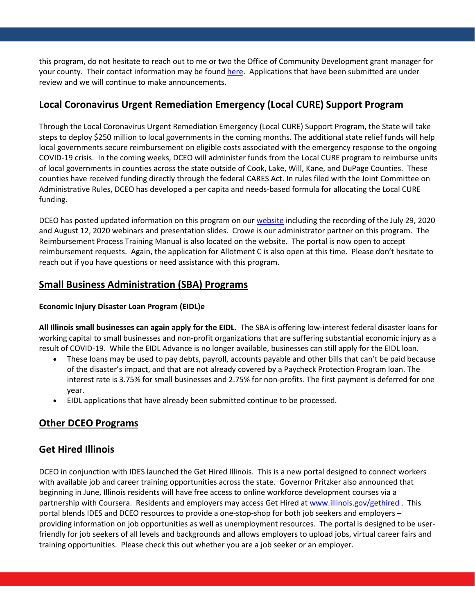this program, do not hesitate to reach out to me or two the Office of Community Development grant manager for your county. Their contact information may be found [here.](https://www2.illinois.gov/dceo/CommunityServices/CommunityInfrastructure/Documents/Community%20Outreach%20Map%20March%202020.pdf) Applications that have been submitted are under review and we will continue to make announcements.

### **Local Coronavirus Urgent Remediation Emergency (Local CURE) Support Program**

Through the Local Coronavirus Urgent Remediation Emergency (Local CURE) Support Program, the State will take steps to deploy \$250 million to local governments in the coming months. The additional state relief funds will help local governments secure reimbursement on eligible costs associated with the emergency response to the ongoing COVID-19 crisis. In the coming weeks, DCEO will administer funds from the Local CURE program to reimburse units of local governments in counties across the state outside of Cook, Lake, Will, Kane, and DuPage Counties. These counties have received funding directly through the federal CARES Act. In rules filed with the Joint Committee on Administrative Rules, DCEO has developed a per capita and needs-based formula for allocating the Local CURE funding.

DCEO has posted updated information on this program on our [website](https://www2.illinois.gov/dceo/Pages/CURE.aspx) including the recording of the July 29, 2020 and August 12, 2020 webinars and presentation slides. Crowe is our administrator partner on this program. The Reimbursement Process Training Manual is also located on the website. The portal is now open to accept reimbursement requests. Again, the application for Allotment C is also open at this time. Please don't hesitate to reach out if you have questions or need assistance with this program.

### **Small Business Administration (SBA) Programs**

#### **Economic Injury Disaster Loan Program (EIDL)e**

**All Illinois small businesses can again apply for the EIDL.** The SBA is offering low-interest federal disaster loans for working capital to small businesses and non-profit organizations that are suffering substantial economic injury as a result of COVID-19. While the EIDL Advance is no longer available, businesses can still apply for the EIDL loan.

- These loans may be used to pay debts, payroll, accounts payable and other bills that can't be paid because of the disaster's impact, and that are not already covered by a Paycheck Protection Program loan. The interest rate is 3.75% for small businesses and 2.75% for non-profits. The first payment is deferred for one year.
- EIDL applications that have already been submitted continue to be processed.

### **Other DCEO Programs**

### **Get Hired Illinois**

DCEO in conjunction with IDES launched the Get Hired Illinois. This is a new portal designed to connect workers with available job and career training opportunities across the state. Governor Pritzker also announced that beginning in June, Illinois residents will have free access to online workforce development courses via a partnership with Coursera. Residents and employers may access Get Hired at [www.illinois.gov/gethired](http://www.illinois.gov/gethired). This portal blends IDES and DCEO resources to provide a one-stop-shop for both job seekers and employers – providing information on job opportunities as well as unemployment resources. The portal is designed to be userfriendly for job seekers of all levels and backgrounds and allows employers to upload jobs, virtual career fairs and training opportunities. Please check this out whether you are a job seeker or an employer.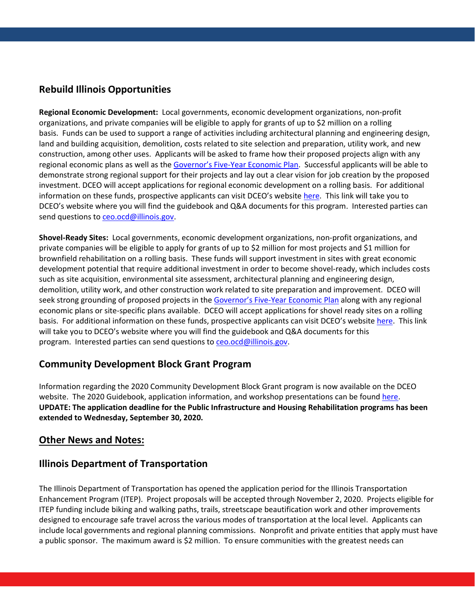### **Rebuild Illinois Opportunities**

**Regional Economic Development:** Local governments, economic development organizations, non-profit organizations, and private companies will be eligible to apply for grants of up to \$2 million on a rolling basis. Funds can be used to support a range of activities including architectural planning and engineering design, land and building acquisition, demolition, costs related to site selection and preparation, utility work, and new construction, among other uses. Applicants will be asked to frame how their proposed projects align with any regional economic plans as well as the [Governor's Five-Year Economic Plan.](https://www2.illinois.gov/dceo/Pages/EconPlan2019.aspx) Successful applicants will be able to demonstrate strong regional support for their projects and lay out a clear vision for job creation by the proposed investment. DCEO will accept applications for regional economic development on a rolling basis. For additional information on these funds, prospective applicants can visit DCEO's website [here.](https://www2.illinois.gov/dceo/CommunityServices/CommunityInfrastructure/Pages/default.aspx) This link will take you to DCEO's website where you will find the guidebook and Q&A documents for this program. Interested parties can send questions to [ceo.ocd@illinois.gov.](mailto:ceo.ocd@illinois.gov)

**Shovel-Ready Sites:** Local governments, economic development organizations, non-profit organizations, and private companies will be eligible to apply for grants of up to \$2 million for most projects and \$1 million for brownfield rehabilitation on a rolling basis. These funds will support investment in sites with great economic development potential that require additional investment in order to become shovel-ready, which includes costs such as site acquisition, environmental site assessment, architectural planning and engineering design, demolition, utility work, and other construction work related to site preparation and improvement. DCEO will seek strong grounding of proposed projects in the [Governor's Five-Year Economic Plan](https://www2.illinois.gov/dceo/Pages/EconPlan2019.aspx) along with any regional economic plans or site-specific plans available. DCEO will accept applications for shovel ready sites on a rolling basis. For additional information on these funds, prospective applicants can visit DCEO's website [here.](https://www2.illinois.gov/dceo/CommunityServices/CommunityInfrastructure/Pages/default.aspx) This link will take you to DCEO's website where you will find the guidebook and Q&A documents for this program. Interested parties can send questions t[o ceo.ocd@illinois.gov.](mailto:ceo.ocd@illinois.gov)

### **Community Development Block Grant Program**

Information regarding the 2020 Community Development Block Grant program is now available on the DCEO website. The 2020 Guidebook, application information, and workshop presentations can be foun[d here.](https://www2.illinois.gov/dceo/CommunityServices/CommunityInfrastructure/Pages/default.aspx) **UPDATE: The application deadline for the Public Infrastructure and Housing Rehabilitation programs has been extended to Wednesday, September 30, 2020.**

### **Other News and Notes:**

### **Illinois Department of Transportation**

The Illinois Department of Transportation has opened the application period for the Illinois Transportation Enhancement Program (ITEP). Project proposals will be accepted through November 2, 2020. Projects eligible for ITEP funding include biking and walking paths, trails, streetscape beautification work and other improvements designed to encourage safe travel across the various modes of transportation at the local level. Applicants can include local governments and regional planning commissions. Nonprofit and private entities that apply must have a public sponsor. The maximum award is \$2 million. To ensure communities with the greatest needs can